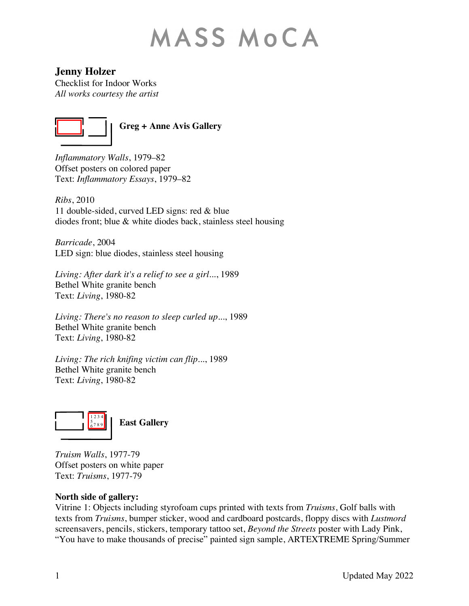# **MASS MOCA**

**Jenny Holzer**

Checklist for Indoor Works *All works courtesy the artist*



**Greg + Anne Avis Gallery**

*Inflammatory Walls*, 1979–82 Offset posters on colored paper Text: *Inflammatory Essays*, 1979–82

*Ribs*, 2010 11 double-sided, curved LED signs: red & blue diodes front; blue & white diodes back, stainless steel housing

*Barricade*, 2004 LED sign: blue diodes, stainless steel housing

*Living: After dark it's a relief to see a girl...*, 1989 Bethel White granite bench Text: *Living*, 1980-82

*Living: There's no reason to sleep curled up...*, 1989 Bethel White granite bench Text: *Living*, 1980-82

*Living: The rich knifing victim can flip...*, 1989 Bethel White granite bench Text: *Living*, 1980-82



*Truism Walls*, 1977-79 Offset posters on white paper Text: *Truisms*, 1977-79

# **North side of gallery:**

Vitrine 1: Objects including styrofoam cups printed with texts from *Truisms*, Golf balls with texts from *Truisms*, bumper sticker, wood and cardboard postcards, floppy discs with *Lustmord*  screensavers, pencils, stickers, temporary tattoo set, *Beyond the Streets* poster with Lady Pink, "You have to make thousands of precise" painted sign sample, ARTEXTREME Spring/Summer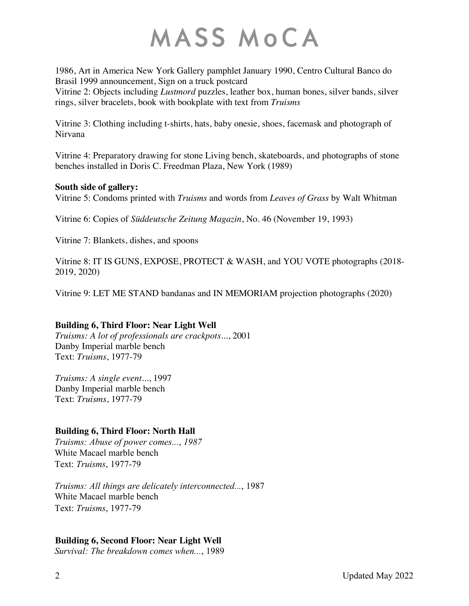# MASS MOCA

1986, Art in America New York Gallery pamphlet January 1990, Centro Cultural Banco do Brasil 1999 announcement, Sign on a truck postcard Vitrine 2: Objects including *Lustmord* puzzles, leather box, human bones, silver bands, silver rings, silver bracelets, book with bookplate with text from *Truisms*

Vitrine 3: Clothing including t-shirts, hats, baby onesie, shoes, facemask and photograph of Nirvana

Vitrine 4: Preparatory drawing for stone Living bench, skateboards, and photographs of stone benches installed in Doris C. Freedman Plaza, New York (1989)

#### **South side of gallery:**

Vitrine 5: Condoms printed with *Truisms* and words from *Leaves of Grass* by Walt Whitman

Vitrine 6: Copies of *Süddeutsche Zeitung Magazin*, No. 46 (November 19, 1993)

Vitrine 7: Blankets, dishes, and spoons

Vitrine 8: IT IS GUNS, EXPOSE, PROTECT & WASH, and YOU VOTE photographs (2018- 2019, 2020)

Vitrine 9: LET ME STAND bandanas and IN MEMORIAM projection photographs (2020)

# **Building 6, Third Floor: Near Light Well**

*Truisms: A lot of professionals are crackpots...*, 2001 Danby Imperial marble bench Text: *Truisms*, 1977-79

*Truisms: A single event...*, 1997 Danby Imperial marble bench Text: *Truisms*, 1977-79

# **Building 6, Third Floor: North Hall**

*Truisms: Abuse of power comes...*, *1987*  White Macael marble bench Text: *Truisms*, 1977-79

*Truisms: All things are delicately interconnected...*, 1987 White Macael marble bench Text: *Truisms*, 1977-79

# **Building 6, Second Floor: Near Light Well**

*Survival: The breakdown comes when...*, 1989